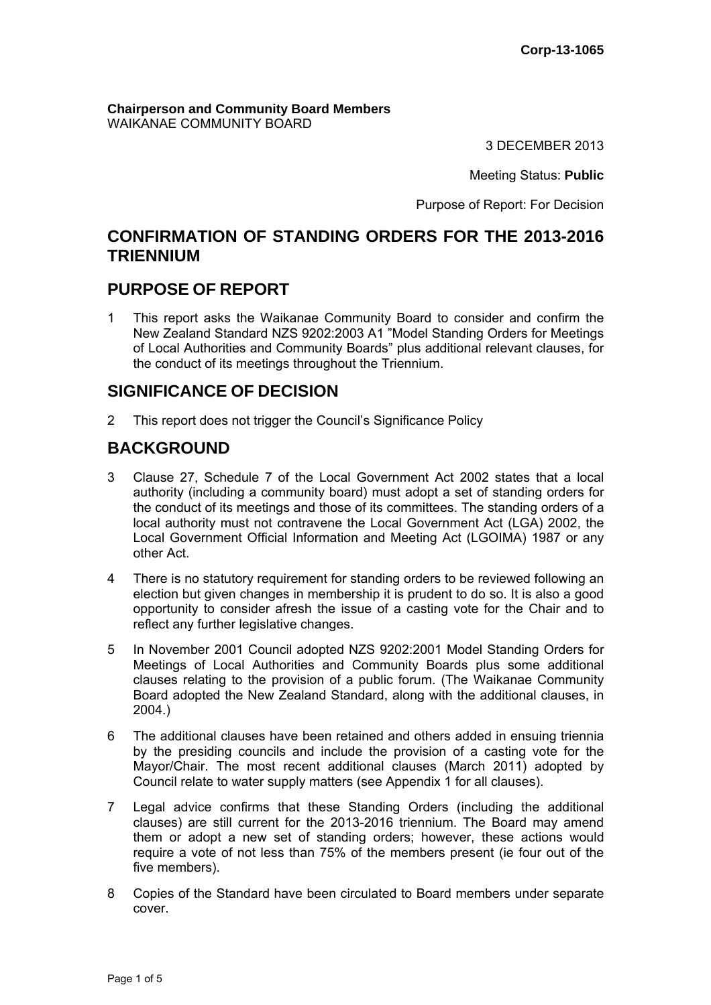**Chairperson and Community Board Members** WAIKANAE COMMUNITY BOARD

3 DECEMBER 2013

Meeting Status: **Public**

Purpose of Report: For Decision

## **CONFIRMATION OF STANDING ORDERS FOR THE 2013-2016 TRIENNIUM**

## **PURPOSE OF REPORT**

1 This report asks the Waikanae Community Board to consider and confirm the New Zealand Standard NZS 9202:2003 A1 "Model Standing Orders for Meetings of Local Authorities and Community Boards" plus additional relevant clauses, for the conduct of its meetings throughout the Triennium.

# **SIGNIFICANCE OF DECISION**

2 This report does not trigger the Council's Significance Policy

# **BACKGROUND**

- 3 Clause 27, Schedule 7 of the Local Government Act 2002 states that a local authority (including a community board) must adopt a set of standing orders for the conduct of its meetings and those of its committees. The standing orders of a local authority must not contravene the Local Government Act (LGA) 2002, the Local Government Official Information and Meeting Act (LGOIMA) 1987 or any other Act.
- 4 There is no statutory requirement for standing orders to be reviewed following an election but given changes in membership it is prudent to do so. It is also a good opportunity to consider afresh the issue of a casting vote for the Chair and to reflect any further legislative changes.
- 5 In November 2001 Council adopted NZS 9202:2001 Model Standing Orders for Meetings of Local Authorities and Community Boards plus some additional clauses relating to the provision of a public forum. (The Waikanae Community Board adopted the New Zealand Standard, along with the additional clauses, in 2004.)
- 6 The additional clauses have been retained and others added in ensuing triennia by the presiding councils and include the provision of a casting vote for the Mayor/Chair. The most recent additional clauses (March 2011) adopted by Council relate to water supply matters (see Appendix 1 for all clauses).
- 7 Legal advice confirms that these Standing Orders (including the additional clauses) are still current for the 2013-2016 triennium. The Board may amend them or adopt a new set of standing orders; however, these actions would require a vote of not less than 75% of the members present (ie four out of the five members).
- 8 Copies of the Standard have been circulated to Board members under separate cover.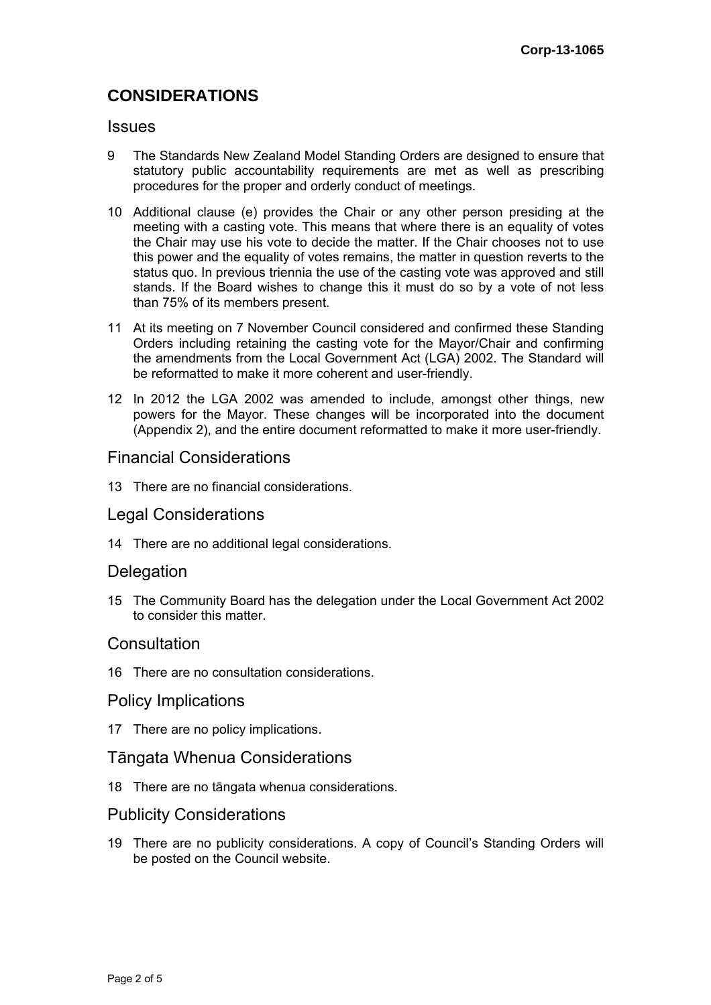# **CONSIDERATIONS**

#### **Issues**

- 9 The Standards New Zealand Model Standing Orders are designed to ensure that statutory public accountability requirements are met as well as prescribing procedures for the proper and orderly conduct of meetings.
- 10 Additional clause (e) provides the Chair or any other person presiding at the meeting with a casting vote. This means that where there is an equality of votes the Chair may use his vote to decide the matter. If the Chair chooses not to use this power and the equality of votes remains, the matter in question reverts to the status quo. In previous triennia the use of the casting vote was approved and still stands. If the Board wishes to change this it must do so by a vote of not less than 75% of its members present.
- 11 At its meeting on 7 November Council considered and confirmed these Standing Orders including retaining the casting vote for the Mayor/Chair and confirming the amendments from the Local Government Act (LGA) 2002. The Standard will be reformatted to make it more coherent and user-friendly.
- 12 In 2012 the LGA 2002 was amended to include, amongst other things, new powers for the Mayor. These changes will be incorporated into the document (Appendix 2), and the entire document reformatted to make it more user-friendly.

## Financial Considerations

13 There are no financial considerations.

## Legal Considerations

14 There are no additional legal considerations.

## **Delegation**

15 The Community Board has the delegation under the Local Government Act 2002 to consider this matter.

## **Consultation**

16 There are no consultation considerations.

#### Policy Implications

17 There are no policy implications.

#### Tāngata Whenua Considerations

18 There are no tāngata whenua considerations.

#### Publicity Considerations

19 There are no publicity considerations. A copy of Council's Standing Orders will be posted on the Council website.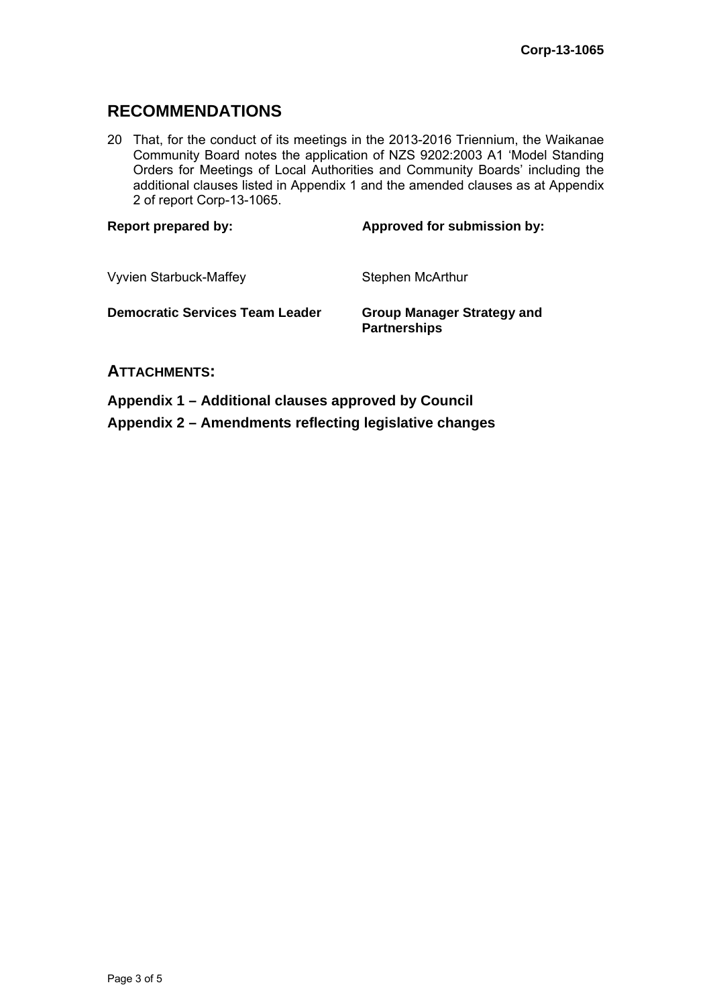# **RECOMMENDATIONS**

20 That, for the conduct of its meetings in the 2013-2016 Triennium, the Waikanae Community Board notes the application of NZS 9202:2003 A1 'Model Standing Orders for Meetings of Local Authorities and Community Boards' including the additional clauses listed in Appendix 1 and the amended clauses as at Appendix 2 of report Corp-13-1065.

| <b>Report prepared by:</b>             | Approved for submission by:                              |
|----------------------------------------|----------------------------------------------------------|
| <b>Vyvien Starbuck-Maffey</b>          | Stephen McArthur                                         |
| <b>Democratic Services Team Leader</b> | <b>Group Manager Strategy and</b><br><b>Partnerships</b> |
| <b>ATTACHMENTS:</b>                    |                                                          |

**Appendix 1 – Additional clauses approved by Council Appendix 2 – Amendments reflecting legislative changes**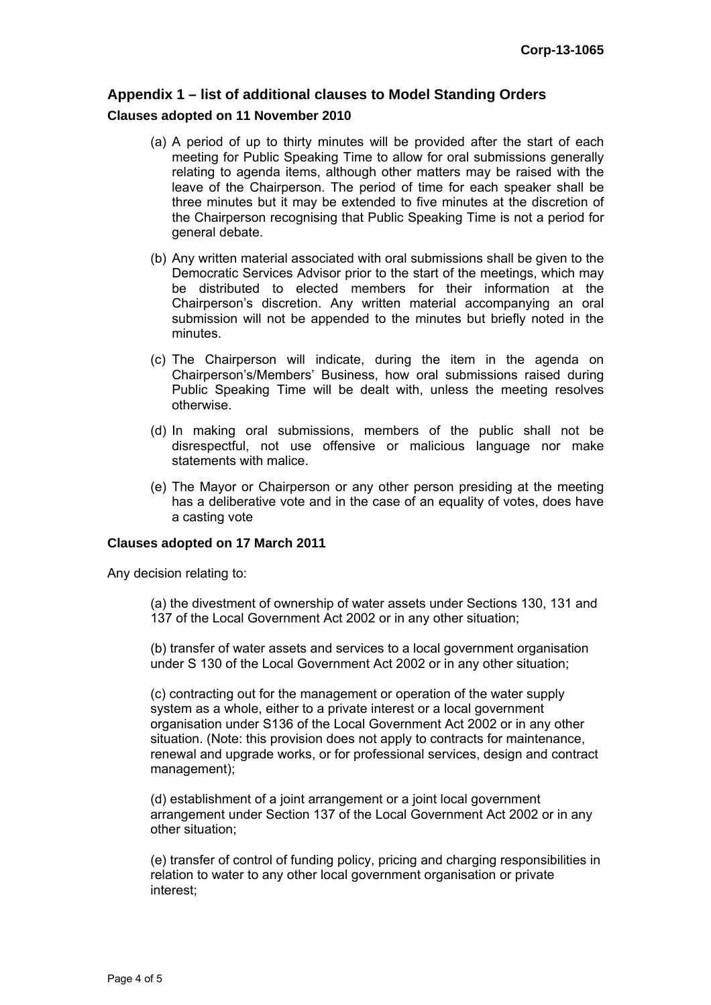## **Appendix 1 – list of additional clauses to Model Standing Orders**

#### **Clauses adopted on 11 November 2010**

- (a) A period of up to thirty minutes will be provided after the start of each meeting for Public Speaking Time to allow for oral submissions generally relating to agenda items, although other matters may be raised with the leave of the Chairperson. The period of time for each speaker shall be three minutes but it may be extended to five minutes at the discretion of the Chairperson recognising that Public Speaking Time is not a period for general debate.
- (b) Any written material associated with oral submissions shall be given to the Democratic Services Advisor prior to the start of the meetings, which may be distributed to elected members for their information at the Chairperson's discretion. Any written material accompanying an oral submission will not be appended to the minutes but briefly noted in the minutes.
- (c) The Chairperson will indicate, during the item in the agenda on Chairperson's/Members' Business, how oral submissions raised during Public Speaking Time will be dealt with, unless the meeting resolves otherwise.
- (d) In making oral submissions, members of the public shall not be disrespectful, not use offensive or malicious language nor make statements with malice.
- (e) The Mayor or Chairperson or any other person presiding at the meeting has a deliberative vote and in the case of an equality of votes, does have a casting vote

#### **Clauses adopted on 17 March 2011**

Any decision relating to:

(a) the divestment of ownership of water assets under Sections 130, 131 and 137 of the Local Government Act 2002 or in any other situation;

(b) transfer of water assets and services to a local government organisation under S 130 of the Local Government Act 2002 or in any other situation;

(c) contracting out for the management or operation of the water supply system as a whole, either to a private interest or a local government organisation under S136 of the Local Government Act 2002 or in any other situation. (Note: this provision does not apply to contracts for maintenance, renewal and upgrade works, or for professional services, design and contract management);

(d) establishment of a joint arrangement or a joint local government arrangement under Section 137 of the Local Government Act 2002 or in any other situation;

(e) transfer of control of funding policy, pricing and charging responsibilities in relation to water to any other local government organisation or private interest;